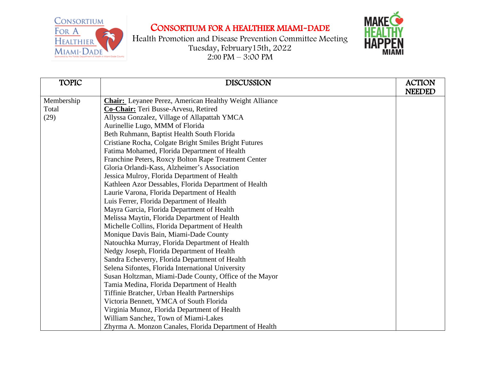## CONSORTIUM FOR A HEALTHIER MIAMI-DADE

Health Promotion and Disease Prevention Committee Meeting Tuesday, February15th, 2022  $2:00 \text{ PM} - 3:00 \text{ PM}$ 



| <b>TOPIC</b> | <b>DISCUSSION</b>                                             | <b>ACTION</b><br><b>NEEDED</b> |
|--------------|---------------------------------------------------------------|--------------------------------|
| Membership   | <b>Chair:</b> Leyanee Perez, American Healthy Weight Alliance |                                |
| Total        | Co-Chair: Teri Busse-Arvesu, Retired                          |                                |
| (29)         | Allyssa Gonzalez, Village of Allapattah YMCA                  |                                |
|              | Aurinellie Lugo, MMM of Florida                               |                                |
|              | Beth Ruhmann, Baptist Health South Florida                    |                                |
|              | Cristiane Rocha, Colgate Bright Smiles Bright Futures         |                                |
|              | Fatima Mohamed, Florida Department of Health                  |                                |
|              | Franchine Peters, Roxcy Bolton Rape Treatment Center          |                                |
|              | Gloria Orlandi-Kass, Alzheimer's Association                  |                                |
|              | Jessica Mulroy, Florida Department of Health                  |                                |
|              | Kathleen Azor Dessables, Florida Department of Health         |                                |
|              | Laurie Varona, Florida Department of Health                   |                                |
|              | Luis Ferrer, Florida Department of Health                     |                                |
|              | Mayra Garcia, Florida Department of Health                    |                                |
|              | Melissa Maytin, Florida Department of Health                  |                                |
|              | Michelle Collins, Florida Department of Health                |                                |
|              | Monique Davis Bain, Miami-Dade County                         |                                |
|              | Natouchka Murray, Florida Department of Health                |                                |
|              | Nedgy Joseph, Florida Department of Health                    |                                |
|              | Sandra Echeverry, Florida Department of Health                |                                |
|              | Selena Sifontes, Florida International University             |                                |
|              | Susan Holtzman, Miami-Dade County, Office of the Mayor        |                                |
|              | Tamia Medina, Florida Department of Health                    |                                |
|              | Tiffinie Bratcher, Urban Health Partnerships                  |                                |
|              | Victoria Bennett, YMCA of South Florida                       |                                |
|              | Virginia Munoz, Florida Department of Health                  |                                |
|              | William Sanchez, Town of Miami-Lakes                          |                                |
|              | Zhyrma A. Monzon Canales, Florida Department of Health        |                                |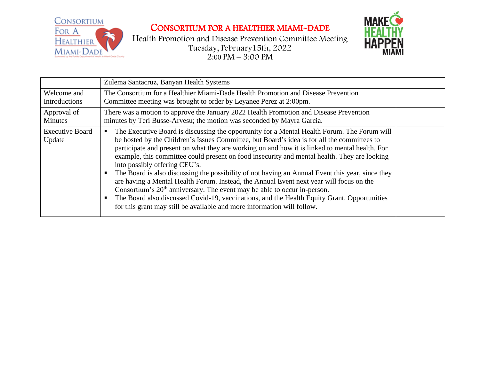

Health Promotion and Disease Prevention Committee Meeting Tuesday, February15th, 2022 2:00 PM – 3:00 PM



|                                  | Zulema Santacruz, Banyan Health Systems                                                                                                                                                                                                                                                                                                                                                                                                                                                                                                                                                                                                                                                                                                                                                                                                                                                        |  |
|----------------------------------|------------------------------------------------------------------------------------------------------------------------------------------------------------------------------------------------------------------------------------------------------------------------------------------------------------------------------------------------------------------------------------------------------------------------------------------------------------------------------------------------------------------------------------------------------------------------------------------------------------------------------------------------------------------------------------------------------------------------------------------------------------------------------------------------------------------------------------------------------------------------------------------------|--|
| Welcome and<br>Introductions     | The Consortium for a Healthier Miami-Dade Health Promotion and Disease Prevention<br>Committee meeting was brought to order by Leyanee Perez at 2:00pm.                                                                                                                                                                                                                                                                                                                                                                                                                                                                                                                                                                                                                                                                                                                                        |  |
| Approval of<br>Minutes           | There was a motion to approve the January 2022 Health Promotion and Disease Prevention<br>minutes by Teri Busse-Arvesu; the motion was seconded by Mayra Garcia.                                                                                                                                                                                                                                                                                                                                                                                                                                                                                                                                                                                                                                                                                                                               |  |
| <b>Executive Board</b><br>Update | The Executive Board is discussing the opportunity for a Mental Health Forum. The Forum will<br>be hosted by the Children's Issues Committee, but Board's idea is for all the committees to<br>participate and present on what they are working on and how it is linked to mental health. For<br>example, this committee could present on food insecurity and mental health. They are looking<br>into possibly offering CEU's.<br>The Board is also discussing the possibility of not having an Annual Event this year, since they<br>are having a Mental Health Forum. Instead, the Annual Event next year will focus on the<br>Consortium's 20 <sup>th</sup> anniversary. The event may be able to occur in-person.<br>The Board also discussed Covid-19, vaccinations, and the Health Equity Grant. Opportunities<br>for this grant may still be available and more information will follow. |  |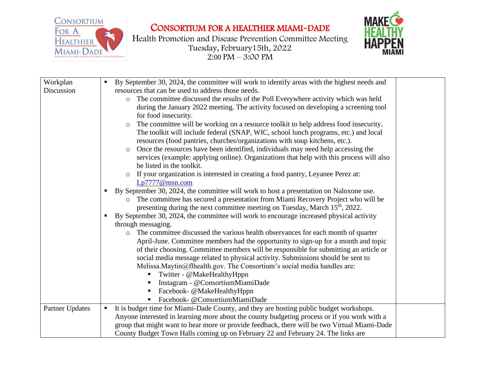

Health Promotion and Disease Prevention Committee Meeting Tuesday, February15th, 2022  $2:00 \text{ PM} - 3:00 \text{ PM}$ 



| Workplan               |   | By September 30, 2024, the committee will work to identify areas with the highest needs and     |  |
|------------------------|---|-------------------------------------------------------------------------------------------------|--|
| Discussion             |   | resources that can be used to address those needs.                                              |  |
|                        |   | The committee discussed the results of the Poll Everywhere activity which was held<br>$\circ$   |  |
|                        |   | during the January 2022 meeting. The activity focused on developing a screening tool            |  |
|                        |   | for food insecurity.                                                                            |  |
|                        |   | The committee will be working on a resource toolkit to help address food insecurity.<br>$\circ$ |  |
|                        |   | The toolkit will include federal (SNAP, WIC, school lunch programs, etc.) and local             |  |
|                        |   | resources (food pantries, churches/organizations with soup kitchens, etc.).                     |  |
|                        |   | Once the resources have been identified, individuals may need help accessing the<br>$\circ$     |  |
|                        |   | services (example: applying online). Organizations that help with this process will also        |  |
|                        |   | be listed in the toolkit.                                                                       |  |
|                        |   | If your organization is interested in creating a food pantry, Leyanee Perez at:                 |  |
|                        |   | Lp7777@msn.com                                                                                  |  |
|                        |   | By September 30, 2024, the committee will work to host a presentation on Naloxone use.          |  |
|                        |   | The committee has secured a presentation from Miami Recovery Project who will be<br>$\circ$     |  |
|                        |   | presenting during the next committee meeting on Tuesday, March 15 <sup>th</sup> , 2022.         |  |
|                        |   | By September 30, 2024, the committee will work to encourage increased physical activity         |  |
|                        |   | through messaging.                                                                              |  |
|                        |   | The committee discussed the various health observances for each month of quarter<br>$\circ$     |  |
|                        |   | April-June. Committee members had the opportunity to sign-up for a month and topic              |  |
|                        |   | of their choosing. Committee members will be responsible for submitting an article or           |  |
|                        |   | social media message related to physical activity. Submissions should be sent to                |  |
|                        |   | Melissa. Maytin@flhealth.gov. The Consortium's social media handles are:                        |  |
|                        |   | ■ Twitter - @MakeHealthyHppn                                                                    |  |
|                        |   | Instagram - @ConsortiumMiamiDade                                                                |  |
|                        |   | Facebook- @MakeHealthyHppn<br>$\blacksquare$                                                    |  |
|                        |   | Facebook- @ConsortiumMiamiDade                                                                  |  |
| <b>Partner Updates</b> | п | It is budget time for Miami-Dade County, and they are hosting public budget workshops.          |  |
|                        |   | Anyone interested in learning more about the county budgeting process or if you work with a     |  |
|                        |   | group that might want to hear more or provide feedback, there will be two Virtual Miami-Dade    |  |
|                        |   | County Budget Town Halls coming up on February 22 and February 24. The links are                |  |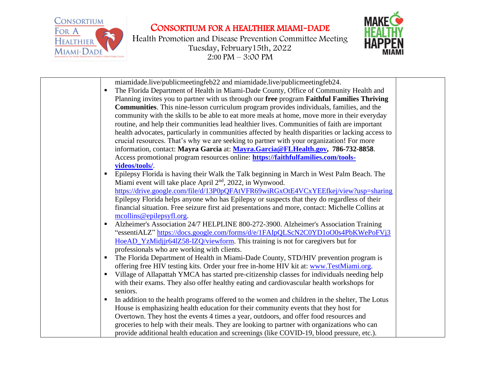





|   | miamidade.live/publicmeetingfeb22 and miamidade.live/publicmeetingfeb24.                          |
|---|---------------------------------------------------------------------------------------------------|
| п | The Florida Department of Health in Miami-Dade County, Office of Community Health and             |
|   | Planning invites you to partner with us through our free program Faithful Families Thriving       |
|   | <b>Communities.</b> This nine-lesson curriculum program provides individuals, families, and the   |
|   | community with the skills to be able to eat more meals at home, move more in their everyday       |
|   | routine, and help their communities lead healthier lives. Communities of faith are important      |
|   | health advocates, particularly in communities affected by health disparities or lacking access to |
|   | crucial resources. That's why we are seeking to partner with your organization! For more          |
|   | information, contact: Mayra Garcia at: Mayra.Garcia@FLHealth.gov, 786-732-8858.                   |
|   | Access promotional program resources online: https://faithfulfamilies.com/tools-                  |
|   | videos/tools/.                                                                                    |
| п | Epilepsy Florida is having their Walk the Talk beginning in March in West Palm Beach. The         |
|   | Miami event will take place April 2 <sup>nd</sup> , 2022, in Wynwood.                             |
|   | https://drive.google.com/file/d/13P0pQFAtVFR69wiRGxOtE4VCxYEEfkej/view?usp=sharing                |
|   | Epilepsy Florida helps anyone who has Epilepsy or suspects that they do regardless of their       |
|   | financial situation. Free seizure first aid presentations and more, contact: Michelle Collins at  |
|   | mcollins@epilepsyfl.org.                                                                          |
| п | Alzheimer's Association 24/7 HELPLINE 800-272-3900. Alzheimer's Association Training              |
|   | "essentiALZ" https://docs.google.com/forms/d/e/1FAIpQLScN2C0YD1oO0s4PbKWePoFVj3                   |
|   | HoeAD_YzMidjjr64lZ58-IZQ/viewform. This training is not for caregivers but for                    |
|   | professionals who are working with clients.                                                       |
| п | The Florida Department of Health in Miami-Dade County, STD/HIV prevention program is              |
|   | offering free HIV testing kits. Order your free in-home HIV kit at: www.TestMiami.org.            |
| п | Village of Allapattah YMCA has started pre-citizenship classes for individuals needing help       |
|   | with their exams. They also offer healthy eating and cardiovascular health workshops for          |
|   | seniors.                                                                                          |
| п | In addition to the health programs offered to the women and children in the shelter, The Lotus    |
|   | House is emphasizing health education for their community events that they host for               |
|   | Overtown. They host the events 4 times a year, outdoors, and offer food resources and             |
|   | groceries to help with their meals. They are looking to partner with organizations who can        |
|   | provide additional health education and screenings (like COVID-19, blood pressure, etc.).         |